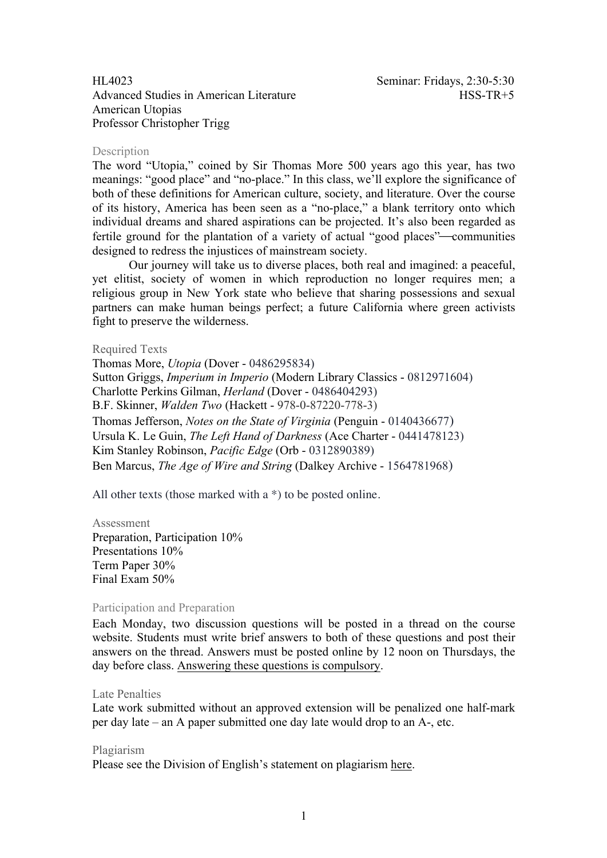Advanced Studies in American Literature HSS-TR+5 American Utopias Professor Christopher Trigg

# **Description**

The word "Utopia," coined by Sir Thomas More 500 years ago this year, has two meanings: "good place" and "no-place." In this class, we'll explore the significance of both of these definitions for American culture, society, and literature. Over the course of its history, America has been seen as a "no-place," a blank territory onto which individual dreams and shared aspirations can be projected. It's also been regarded as fertile ground for the plantation of a variety of actual "good places"—communities designed to redress the injustices of mainstream society.

Our journey will take us to diverse places, both real and imagined: a peaceful, yet elitist, society of women in which reproduction no longer requires men; a religious group in New York state who believe that sharing possessions and sexual partners can make human beings perfect; a future California where green activists fight to preserve the wilderness.

# Required Texts

Thomas More, *Utopia* (Dover - 0486295834) Sutton Griggs, *Imperium in Imperio* (Modern Library Classics - 0812971604) Charlotte Perkins Gilman, *Herland* (Dover - 0486404293) B.F. Skinner, *Walden Two* (Hackett - 978-0-87220-778-3) Thomas Jefferson, *Notes on the State of Virginia* (Penguin - 0140436677) Ursula K. Le Guin, *The Left Hand of Darkness* (Ace Charter - 0441478123) Kim Stanley Robinson, *Pacific Edge* (Orb - 0312890389) Ben Marcus, *The Age of Wire and String* (Dalkey Archive - 1564781968)

All other texts (those marked with a \*) to be posted online.

# Assessment

Preparation, Participation 10% Presentations 10% Term Paper 30% Final Exam 50%

## Participation and Preparation

Each Monday, two discussion questions will be posted in a thread on the course website. Students must write brief answers to both of these questions and post their answers on the thread. Answers must be posted online by 12 noon on Thursdays, the day before class. Answering these questions is compulsory.

## Late Penalties

Late work submitted without an approved extension will be penalized one half-mark per day late – an A paper submitted one day late would drop to an A-, etc.

## Plagiarism

Please see the Division of English's statement on plagiarism here.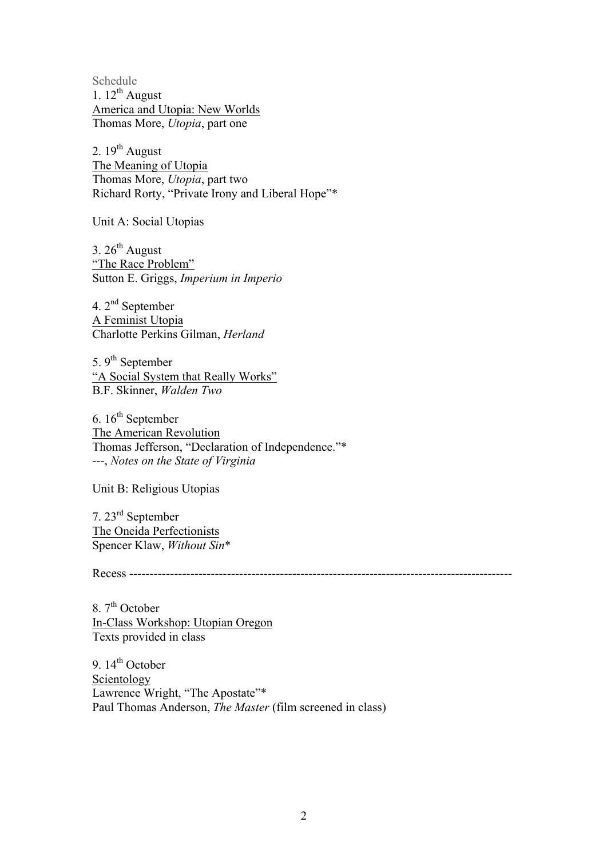Schedule 1.  $12^{th}$  August America and Utopia: New Worlds Thomas More, *Utopia*, part one

2.  $19^{th}$  August The Meaning of Utopia Thomas More, *Utopia*, part two Richard Rorty, "Private Irony and Liberal Hope"\*

Unit A: Social Utopias

3.  $26^{th}$  August "The Race Problem" Sutton E. Griggs, *Imperium in Imperio*

4. 2nd September A Feminist Utopia Charlotte Perkins Gilman, *Herland*

5. 9<sup>th</sup> September "A Social System that Really Works" B.F. Skinner, *Walden Two*

6.  $16<sup>th</sup>$  September The American Revolution Thomas Jefferson, "Declaration of Independence."\* ---, *Notes on the State of Virginia*

Unit B: Religious Utopias

7. 23rd September The Oneida Perfectionists Spencer Klaw, *Without Sin*\*

Recess ----------------------------------------------------------------------------------------------

8.  $7<sup>th</sup>$  October In-Class Workshop: Utopian Oregon Texts provided in class

9.  $14<sup>th</sup>$  October Scientology Lawrence Wright, "The Apostate"\* Paul Thomas Anderson, *The Master* (film screened in class)